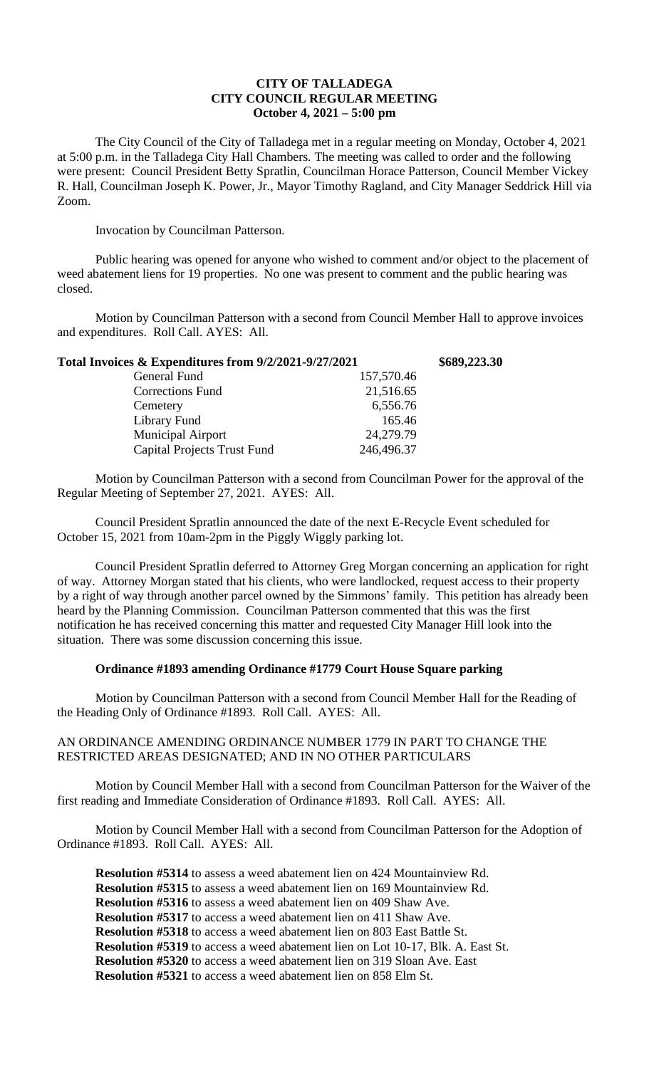## **CITY OF TALLADEGA CITY COUNCIL REGULAR MEETING October 4, 2021 – 5:00 pm**

The City Council of the City of Talladega met in a regular meeting on Monday, October 4, 2021 at 5:00 p.m. in the Talladega City Hall Chambers. The meeting was called to order and the following were present: Council President Betty Spratlin, Councilman Horace Patterson, Council Member Vickey R. Hall, Councilman Joseph K. Power, Jr., Mayor Timothy Ragland, and City Manager Seddrick Hill via Zoom.

Invocation by Councilman Patterson.

Public hearing was opened for anyone who wished to comment and/or object to the placement of weed abatement liens for 19 properties. No one was present to comment and the public hearing was closed.

Motion by Councilman Patterson with a second from Council Member Hall to approve invoices and expenditures. Roll Call. AYES: All.

| Total Invoices & Expenditures from 9/2/2021-9/27/2021 |            | \$689,223.30 |
|-------------------------------------------------------|------------|--------------|
| General Fund                                          | 157,570.46 |              |
| Corrections Fund                                      | 21,516.65  |              |
| Cemetery                                              | 6,556.76   |              |
| Library Fund                                          | 165.46     |              |
| <b>Municipal Airport</b>                              | 24,279.79  |              |
| <b>Capital Projects Trust Fund</b>                    | 246,496.37 |              |

Motion by Councilman Patterson with a second from Councilman Power for the approval of the Regular Meeting of September 27, 2021. AYES: All.

Council President Spratlin announced the date of the next E-Recycle Event scheduled for October 15, 2021 from 10am-2pm in the Piggly Wiggly parking lot.

Council President Spratlin deferred to Attorney Greg Morgan concerning an application for right of way. Attorney Morgan stated that his clients, who were landlocked, request access to their property by a right of way through another parcel owned by the Simmons' family. This petition has already been heard by the Planning Commission. Councilman Patterson commented that this was the first notification he has received concerning this matter and requested City Manager Hill look into the situation. There was some discussion concerning this issue.

# **Ordinance #1893 amending Ordinance #1779 Court House Square parking**

Motion by Councilman Patterson with a second from Council Member Hall for the Reading of the Heading Only of Ordinance #1893. Roll Call. AYES: All.

### AN ORDINANCE AMENDING ORDINANCE NUMBER 1779 IN PART TO CHANGE THE RESTRICTED AREAS DESIGNATED; AND IN NO OTHER PARTICULARS

Motion by Council Member Hall with a second from Councilman Patterson for the Waiver of the first reading and Immediate Consideration of Ordinance #1893. Roll Call. AYES: All.

Motion by Council Member Hall with a second from Councilman Patterson for the Adoption of Ordinance #1893. Roll Call. AYES: All.

**Resolution #5314** to assess a weed abatement lien on 424 Mountainview Rd. **Resolution #5315** to assess a weed abatement lien on 169 Mountainview Rd. **Resolution #5316** to assess a weed abatement lien on 409 Shaw Ave. **Resolution #5317** to access a weed abatement lien on 411 Shaw Ave. **Resolution #5318** to access a weed abatement lien on 803 East Battle St. **Resolution #5319** to access a weed abatement lien on Lot 10-17, Blk. A. East St. **Resolution #5320** to access a weed abatement lien on 319 Sloan Ave. East **Resolution #5321** to access a weed abatement lien on 858 Elm St.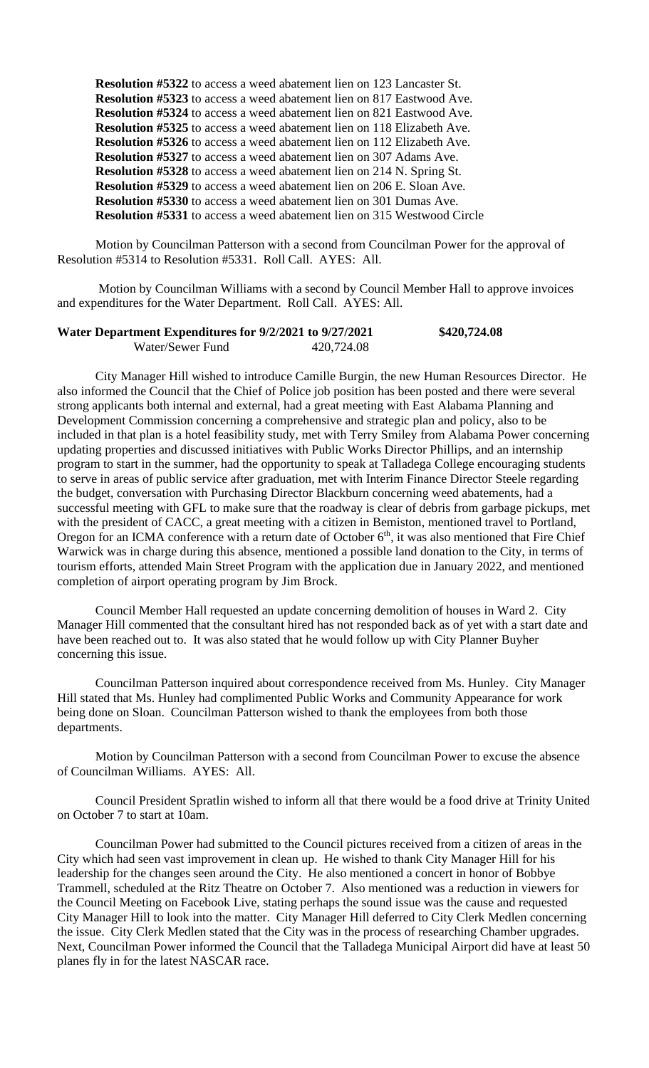**Resolution #5322** to access a weed abatement lien on 123 Lancaster St. **Resolution #5323** to access a weed abatement lien on 817 Eastwood Ave. **Resolution #5324** to access a weed abatement lien on 821 Eastwood Ave. **Resolution #5325** to access a weed abatement lien on 118 Elizabeth Ave. **Resolution #5326** to access a weed abatement lien on 112 Elizabeth Ave. **Resolution #5327** to access a weed abatement lien on 307 Adams Ave. **Resolution #5328** to access a weed abatement lien on 214 N. Spring St. **Resolution #5329** to access a weed abatement lien on 206 E. Sloan Ave. **Resolution #5330** to access a weed abatement lien on 301 Dumas Ave. **Resolution #5331** to access a weed abatement lien on 315 Westwood Circle

Motion by Councilman Patterson with a second from Councilman Power for the approval of Resolution #5314 to Resolution #5331. Roll Call. AYES: All.

Motion by Councilman Williams with a second by Council Member Hall to approve invoices and expenditures for the Water Department. Roll Call. AYES: All.

### **Water Department Expenditures for 9/2/2021 to 9/27/2021 \$420,724.08** Water/Sewer Fund 420,724.08

City Manager Hill wished to introduce Camille Burgin, the new Human Resources Director. He also informed the Council that the Chief of Police job position has been posted and there were several strong applicants both internal and external, had a great meeting with East Alabama Planning and Development Commission concerning a comprehensive and strategic plan and policy, also to be included in that plan is a hotel feasibility study, met with Terry Smiley from Alabama Power concerning updating properties and discussed initiatives with Public Works Director Phillips, and an internship program to start in the summer, had the opportunity to speak at Talladega College encouraging students to serve in areas of public service after graduation, met with Interim Finance Director Steele regarding the budget, conversation with Purchasing Director Blackburn concerning weed abatements, had a successful meeting with GFL to make sure that the roadway is clear of debris from garbage pickups, met with the president of CACC, a great meeting with a citizen in Bemiston, mentioned travel to Portland, Oregon for an ICMA conference with a return date of October  $6<sup>th</sup>$ , it was also mentioned that Fire Chief Warwick was in charge during this absence, mentioned a possible land donation to the City, in terms of tourism efforts, attended Main Street Program with the application due in January 2022, and mentioned completion of airport operating program by Jim Brock.

Council Member Hall requested an update concerning demolition of houses in Ward 2. City Manager Hill commented that the consultant hired has not responded back as of yet with a start date and have been reached out to. It was also stated that he would follow up with City Planner Buyher concerning this issue.

Councilman Patterson inquired about correspondence received from Ms. Hunley. City Manager Hill stated that Ms. Hunley had complimented Public Works and Community Appearance for work being done on Sloan. Councilman Patterson wished to thank the employees from both those departments.

Motion by Councilman Patterson with a second from Councilman Power to excuse the absence of Councilman Williams. AYES: All.

Council President Spratlin wished to inform all that there would be a food drive at Trinity United on October 7 to start at 10am.

Councilman Power had submitted to the Council pictures received from a citizen of areas in the City which had seen vast improvement in clean up. He wished to thank City Manager Hill for his leadership for the changes seen around the City. He also mentioned a concert in honor of Bobbye Trammell, scheduled at the Ritz Theatre on October 7. Also mentioned was a reduction in viewers for the Council Meeting on Facebook Live, stating perhaps the sound issue was the cause and requested City Manager Hill to look into the matter. City Manager Hill deferred to City Clerk Medlen concerning the issue. City Clerk Medlen stated that the City was in the process of researching Chamber upgrades. Next, Councilman Power informed the Council that the Talladega Municipal Airport did have at least 50 planes fly in for the latest NASCAR race.